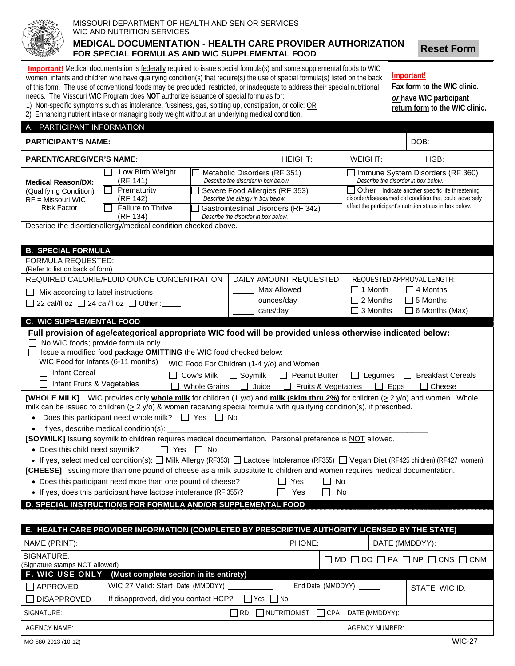## MISSOURI DEPARTMENT OF HEALTH AND SENIOR SERVICES WIC AND NUTRITION SERVICES **MEDICAL DOCUMENTATION - HEALTH CARE PROVIDER AUTHORIZATION FOR SPECIAL FORMULAS AND WIC SUPPLEMENTAL FOOD**

**Reset Form**

| <b>Important!</b> Medical documentation is federally required to issue special formula(s) and some supplemental foods to WIC<br>Important!<br>women, infants and children who have qualifying condition(s) that require(s) the use of special formula(s) listed on the back<br>of this form. The use of conventional foods may be precluded, restricted, or inadequate to address their special nutritional<br>Fax form to the WIC clinic.<br>needs. The Missouri WIC Program does NOT authorize issuance of special formulas for:<br>or have WIC participant<br>1) Non-specific symptoms such as intolerance, fussiness, gas, spitting up, constipation, or colic; OR<br>return form to the WIC clinic.<br>2) Enhancing nutrient intake or managing body weight without an underlying medical condition.                                                                                                                                                                                                                     |                                                                                   |                                                                           |                                          |                                                                                                                    |                                                                         |                                                                 |  |                                                                                 |  |  |
|-------------------------------------------------------------------------------------------------------------------------------------------------------------------------------------------------------------------------------------------------------------------------------------------------------------------------------------------------------------------------------------------------------------------------------------------------------------------------------------------------------------------------------------------------------------------------------------------------------------------------------------------------------------------------------------------------------------------------------------------------------------------------------------------------------------------------------------------------------------------------------------------------------------------------------------------------------------------------------------------------------------------------------|-----------------------------------------------------------------------------------|---------------------------------------------------------------------------|------------------------------------------|--------------------------------------------------------------------------------------------------------------------|-------------------------------------------------------------------------|-----------------------------------------------------------------|--|---------------------------------------------------------------------------------|--|--|
| A. PARTICIPANT INFORMATION                                                                                                                                                                                                                                                                                                                                                                                                                                                                                                                                                                                                                                                                                                                                                                                                                                                                                                                                                                                                    |                                                                                   |                                                                           |                                          |                                                                                                                    |                                                                         |                                                                 |  |                                                                                 |  |  |
| <b>PARTICIPANT'S NAME:</b>                                                                                                                                                                                                                                                                                                                                                                                                                                                                                                                                                                                                                                                                                                                                                                                                                                                                                                                                                                                                    |                                                                                   |                                                                           |                                          |                                                                                                                    |                                                                         |                                                                 |  | DOB:                                                                            |  |  |
| <b>PARENT/CAREGIVER'S NAME:</b>                                                                                                                                                                                                                                                                                                                                                                                                                                                                                                                                                                                                                                                                                                                                                                                                                                                                                                                                                                                               |                                                                                   |                                                                           |                                          | <b>HEIGHT:</b>                                                                                                     |                                                                         | WEIGHT:                                                         |  | HGB:                                                                            |  |  |
| <b>Medical Reason/DX:</b><br>(Qualifying Condition)                                                                                                                                                                                                                                                                                                                                                                                                                                                                                                                                                                                                                                                                                                                                                                                                                                                                                                                                                                           | Low Birth Weight<br>(RF 141)                                                      | Metabolic Disorders (RF 351)<br>Describe the disorder in box below.       |                                          |                                                                                                                    | Immune System Disorders (RF 360)<br>Describe the disorder in box below. |                                                                 |  |                                                                                 |  |  |
|                                                                                                                                                                                                                                                                                                                                                                                                                                                                                                                                                                                                                                                                                                                                                                                                                                                                                                                                                                                                                               | Prematurity                                                                       | Severe Food Allergies (RF 353)                                            |                                          |                                                                                                                    | Other Indicate another specific life threatening                        |                                                                 |  |                                                                                 |  |  |
| RF = Missouri WIC<br><b>Risk Factor</b>                                                                                                                                                                                                                                                                                                                                                                                                                                                                                                                                                                                                                                                                                                                                                                                                                                                                                                                                                                                       | (RF 142)<br>Failure to Thrive                                                     | Describe the allergy in box below.<br>Gastrointestinal Disorders (RF 342) |                                          | disorder/disease/medical condition that could adversely<br>affect the participant's nutrition status in box below. |                                                                         |                                                                 |  |                                                                                 |  |  |
|                                                                                                                                                                                                                                                                                                                                                                                                                                                                                                                                                                                                                                                                                                                                                                                                                                                                                                                                                                                                                               | (RF 134)                                                                          | Describe the disorder in box below.                                       |                                          |                                                                                                                    |                                                                         |                                                                 |  |                                                                                 |  |  |
| Describe the disorder/allergy/medical condition checked above.                                                                                                                                                                                                                                                                                                                                                                                                                                                                                                                                                                                                                                                                                                                                                                                                                                                                                                                                                                |                                                                                   |                                                                           |                                          |                                                                                                                    |                                                                         |                                                                 |  |                                                                                 |  |  |
| <b>B. SPECIAL FORMULA</b>                                                                                                                                                                                                                                                                                                                                                                                                                                                                                                                                                                                                                                                                                                                                                                                                                                                                                                                                                                                                     |                                                                                   |                                                                           |                                          |                                                                                                                    |                                                                         |                                                                 |  |                                                                                 |  |  |
| FORMULA REQUESTED:                                                                                                                                                                                                                                                                                                                                                                                                                                                                                                                                                                                                                                                                                                                                                                                                                                                                                                                                                                                                            |                                                                                   |                                                                           |                                          |                                                                                                                    |                                                                         |                                                                 |  |                                                                                 |  |  |
| (Refer to list on back of form)                                                                                                                                                                                                                                                                                                                                                                                                                                                                                                                                                                                                                                                                                                                                                                                                                                                                                                                                                                                               |                                                                                   |                                                                           | DAILY AMOUNT REQUESTED                   |                                                                                                                    |                                                                         |                                                                 |  |                                                                                 |  |  |
| $\mathsf{L}$                                                                                                                                                                                                                                                                                                                                                                                                                                                                                                                                                                                                                                                                                                                                                                                                                                                                                                                                                                                                                  | REQUIRED CALORIE/FLUID OUNCE CONCENTRATION<br>Mix according to label instructions |                                                                           |                                          |                                                                                                                    |                                                                         | REQUESTED APPROVAL LENGTH:<br>$\Box$ 1 Month<br>$\Box$ 4 Months |  |                                                                                 |  |  |
| $\Box$ 22 cal/fl oz $\Box$ 24 cal/fl oz $\Box$ Other :                                                                                                                                                                                                                                                                                                                                                                                                                                                                                                                                                                                                                                                                                                                                                                                                                                                                                                                                                                        |                                                                                   | Max Allowed<br>ounces/day                                                 |                                          | $\Box$ 2 Months<br>$\Box$ 5 Months                                                                                 |                                                                         |                                                                 |  |                                                                                 |  |  |
|                                                                                                                                                                                                                                                                                                                                                                                                                                                                                                                                                                                                                                                                                                                                                                                                                                                                                                                                                                                                                               |                                                                                   |                                                                           | cans/day                                 |                                                                                                                    |                                                                         | $\Box$ 3 Months                                                 |  | $\Box$ 6 Months (Max)                                                           |  |  |
| <b>C. WIC SUPPLEMENTAL FOOD</b>                                                                                                                                                                                                                                                                                                                                                                                                                                                                                                                                                                                                                                                                                                                                                                                                                                                                                                                                                                                               |                                                                                   |                                                                           |                                          |                                                                                                                    |                                                                         |                                                                 |  |                                                                                 |  |  |
| Full provision of age/categorical appropriate WIC food will be provided unless otherwise indicated below:<br>$\Box$ No WIC foods; provide formula only.<br>Issue a modified food package OMITTING the WIC food checked below:<br>WIC Food for Infants (6-11 months)<br>WIC Food For Children (1-4 y/o) and Women<br><b>Infant Cereal</b><br>$\mathsf{L}$<br>$\Box$ Soymilk<br>Cow's Milk<br>$\Box$ Peanut Butter<br>$\Box$ Legumes<br><b>Breakfast Cereals</b><br>$\perp$<br>Infant Fruits & Vegetables<br><b>Whole Grains</b><br>Juice<br>$\Box$ Fruits & Vegetables<br>Cheese<br>$\mathsf{L}$<br>Eggs<br><b>[WHOLE MILK]</b> WIC provides only <b>whole milk</b> for children (1 y/o) and milk (skim thru 2%) for children ( $\geq$ 2 y/o) and women. Whole<br>milk can be issued to children $(2 2 y/0)$ & women receiving special formula with qualifying condition(s), if prescribed.<br>Does this participant need whole milk? $\Box$ Yes $\Box$ No<br>$\bullet$<br>If yes, describe medical condition(s):<br>$\bullet$ |                                                                                   |                                                                           |                                          |                                                                                                                    |                                                                         |                                                                 |  |                                                                                 |  |  |
| [SOYMILK] Issuing soymilk to children requires medical documentation. Personal preference is NOT allowed.<br>• Does this child need soymilk?<br>∏ Yes<br>$\Box$ No<br>• If yes, select medical condition(s): $\Box$ Milk Allergy (RF353) $\Box$ Lactose Intolerance (RF355) $\Box$ Vegan Diet (RF425 children) (RF427 women)<br>[CHEESE] Issuing more than one pound of cheese as a milk substitute to children and women requires medical documentation.<br>• Does this participant need more than one pound of cheese?<br>No<br>Yes<br>• If yes, does this participant have lactose intolerance (RF 355)?<br>No<br>Yes                                                                                                                                                                                                                                                                                                                                                                                                      |                                                                                   |                                                                           |                                          |                                                                                                                    |                                                                         |                                                                 |  |                                                                                 |  |  |
| D. SPECIAL INSTRUCTIONS FOR FORMULA AND/OR SUPPLEMENTAL FOOD                                                                                                                                                                                                                                                                                                                                                                                                                                                                                                                                                                                                                                                                                                                                                                                                                                                                                                                                                                  |                                                                                   |                                                                           |                                          |                                                                                                                    |                                                                         |                                                                 |  |                                                                                 |  |  |
| E. HEALTH CARE PROVIDER INFORMATION (COMPLETED BY PRESCRIPTIVE AUTHORITY LICENSED BY THE STATE)                                                                                                                                                                                                                                                                                                                                                                                                                                                                                                                                                                                                                                                                                                                                                                                                                                                                                                                               |                                                                                   |                                                                           |                                          |                                                                                                                    |                                                                         |                                                                 |  |                                                                                 |  |  |
| NAME (PRINT):                                                                                                                                                                                                                                                                                                                                                                                                                                                                                                                                                                                                                                                                                                                                                                                                                                                                                                                                                                                                                 |                                                                                   |                                                                           |                                          | PHONE:                                                                                                             |                                                                         |                                                                 |  |                                                                                 |  |  |
| SIGNATURE:                                                                                                                                                                                                                                                                                                                                                                                                                                                                                                                                                                                                                                                                                                                                                                                                                                                                                                                                                                                                                    |                                                                                   |                                                                           |                                          |                                                                                                                    | DATE (MMDDYY):                                                          |                                                                 |  |                                                                                 |  |  |
| (Signature stamps NOT allowed)                                                                                                                                                                                                                                                                                                                                                                                                                                                                                                                                                                                                                                                                                                                                                                                                                                                                                                                                                                                                |                                                                                   |                                                                           |                                          |                                                                                                                    |                                                                         |                                                                 |  | $\square$ MD $\square$ DO $\square$ PA $\square$ NP $\square$ CNS $\square$ CNM |  |  |
| <b>F. WIC USE ONLY</b>                                                                                                                                                                                                                                                                                                                                                                                                                                                                                                                                                                                                                                                                                                                                                                                                                                                                                                                                                                                                        | (Must complete section in its entirety)                                           |                                                                           |                                          |                                                                                                                    |                                                                         |                                                                 |  |                                                                                 |  |  |
| $\Box$ APPROVED                                                                                                                                                                                                                                                                                                                                                                                                                                                                                                                                                                                                                                                                                                                                                                                                                                                                                                                                                                                                               | WIC 27 Valid: Start Date (MMDDYY)                                                 |                                                                           |                                          |                                                                                                                    |                                                                         | End Date (MMDDYY)                                               |  | STATE WIC ID:                                                                   |  |  |
| <b>DISAPPROVED</b>                                                                                                                                                                                                                                                                                                                                                                                                                                                                                                                                                                                                                                                                                                                                                                                                                                                                                                                                                                                                            | If disapproved, did you contact HCP?                                              |                                                                           | $\Box$ Yes $\Box$ No                     |                                                                                                                    |                                                                         |                                                                 |  |                                                                                 |  |  |
| SIGNATURE:                                                                                                                                                                                                                                                                                                                                                                                                                                                                                                                                                                                                                                                                                                                                                                                                                                                                                                                                                                                                                    |                                                                                   |                                                                           | $\Box$ RD $\Box$ NUTRITIONIST $\Box$ CPA |                                                                                                                    |                                                                         | DATE (MMDDYY):                                                  |  |                                                                                 |  |  |
| <b>AGENCY NAME:</b>                                                                                                                                                                                                                                                                                                                                                                                                                                                                                                                                                                                                                                                                                                                                                                                                                                                                                                                                                                                                           |                                                                                   |                                                                           |                                          |                                                                                                                    |                                                                         | <b>AGENCY NUMBER:</b>                                           |  |                                                                                 |  |  |